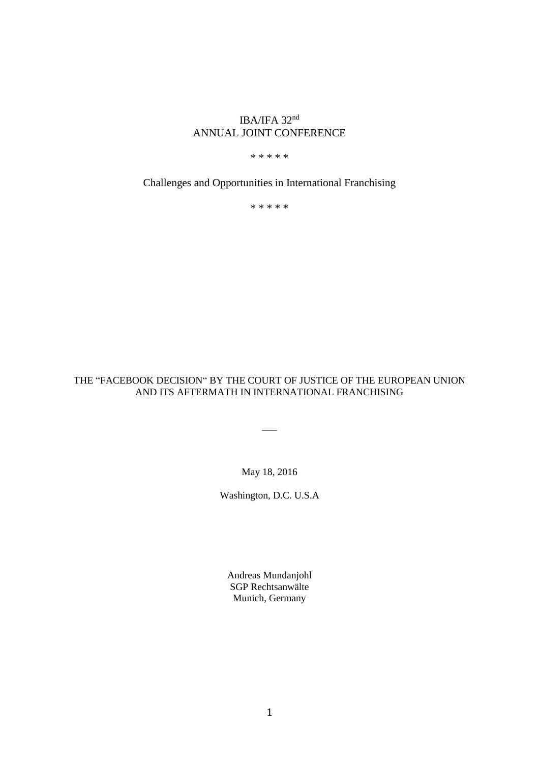# IBA/IFA 32nd ANNUAL JOINT CONFERENCE

# \* \* \* \* \*

Challenges and Opportunities in International Franchising

\* \* \* \* \*

# THE "FACEBOOK DECISION" BY THE COURT OF JUSTICE OF THE EUROPEAN UNION AND ITS AFTERMATH IN INTERNATIONAL FRANCHISING

 $\overline{\phantom{0}}$ 

May 18, 2016

Washington, D.C. U.S.A

Andreas Mundanjohl SGP Rechtsanwälte Munich, Germany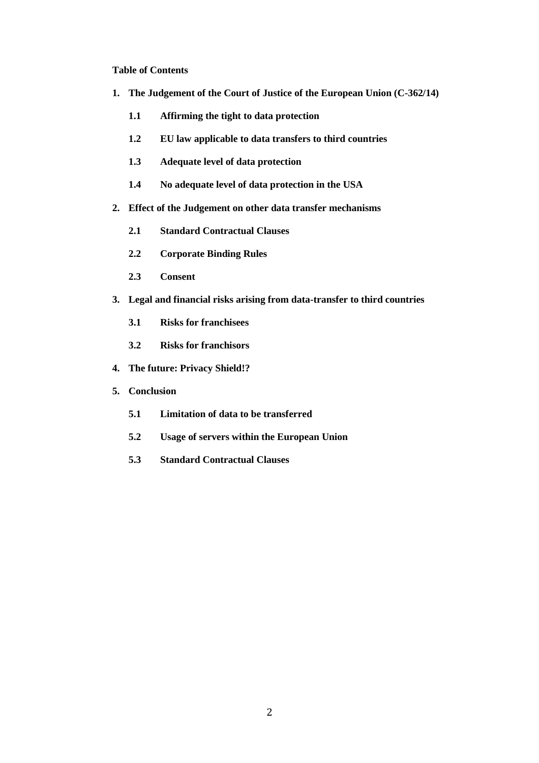### **Table of Contents**

- **1. The Judgement of the Court of Justice of the European Union (C-362/14)**
	- **1.1 Affirming the tight to data protection**
	- **1.2 EU law applicable to data transfers to third countries**
	- **1.3 Adequate level of data protection**
	- **1.4 No adequate level of data protection in the USA**
- **2. Effect of the Judgement on other data transfer mechanisms**
	- **2.1 Standard Contractual Clauses**
	- **2.2 Corporate Binding Rules**
	- **2.3 Consent**
- **3. Legal and financial risks arising from data-transfer to third countries**
	- **3.1 Risks for franchisees**
	- **3.2 Risks for franchisors**
- **4. The future: Privacy Shield!?**
- **5. Conclusion**
	- **5.1 Limitation of data to be transferred**
	- **5.2 Usage of servers within the European Union**
	- **5.3 Standard Contractual Clauses**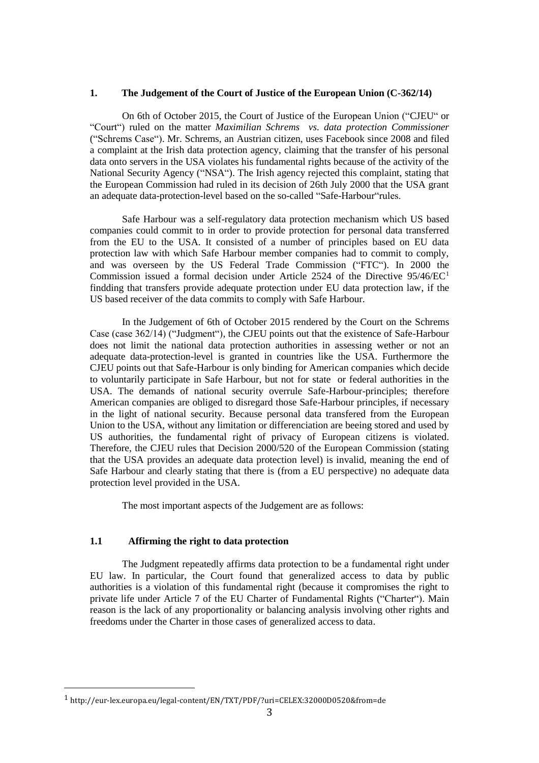#### **1. The Judgement of the Court of Justice of the European Union (C-362/14)**

On 6th of October 2015, the Court of Justice of the European Union ("CJEU" or "Court") ruled on the matter *Maximilian Schrems vs. data protection Commissioner* ("Schrems Case"). Mr. Schrems, an Austrian citizen, uses Facebook since 2008 and filed a complaint at the Irish data protection agency, claiming that the transfer of his personal data onto servers in the USA violates his fundamental rights because of the activity of the National Security Agency ("NSA"). The Irish agency rejected this complaint, stating that the European Commission had ruled in its decision of 26th July 2000 that the USA grant an adequate data-protection-level based on the so-called "Safe-Harbour"rules.

Safe Harbour was a self-regulatory data protection mechanism which US based companies could commit to in order to provide protection for personal data transferred from the EU to the USA. It consisted of a number of principles based on EU data protection law with which Safe Harbour member companies had to commit to comply, and was overseen by the US Federal Trade Commission ("FTC"). In 2000 the Commission issued a formal decision under Article 2524 of the Directive 95/46/EC<sup>1</sup> findding that transfers provide adequate protection under EU data protection law, if the US based receiver of the data commits to comply with Safe Harbour.

In the Judgement of 6th of October 2015 rendered by the Court on the Schrems Case (case 362/14) ("Judgment"), the CJEU points out that the existence of Safe-Harbour does not limit the national data protection authorities in assessing wether or not an adequate data-protection-level is granted in countries like the USA. Furthermore the CJEU points out that Safe-Harbour is only binding for American companies which decide to voluntarily participate in Safe Harbour, but not for state or federal authorities in the USA. The demands of national security overrule Safe-Harbour-principles; therefore American companies are obliged to disregard those Safe-Harbour principles, if necessary in the light of national security. Because personal data transfered from the European Union to the USA, without any limitation or differenciation are beeing stored and used by US authorities, the fundamental right of privacy of European citizens is violated. Therefore, the CJEU rules that Decision 2000/520 of the European Commission (stating that the USA provides an adequate data protection level) is invalid, meaning the end of Safe Harbour and clearly stating that there is (from a EU perspective) no adequate data protection level provided in the USA.

The most important aspects of the Judgement are as follows:

#### **1.1 Affirming the right to data protection**

 $\overline{a}$ 

The Judgment repeatedly affirms data protection to be a fundamental right under EU law. In particular, the Court found that generalized access to data by public authorities is a violation of this fundamental right (because it compromises the right to private life under Article 7 of the EU Charter of Fundamental Rights ("Charter"). Main reason is the lack of any proportionality or balancing analysis involving other rights and freedoms under the Charter in those cases of generalized access to data.

<sup>1</sup> http://eur-lex.europa.eu/legal-content/EN/TXT/PDF/?uri=CELEX:32000D0520&from=de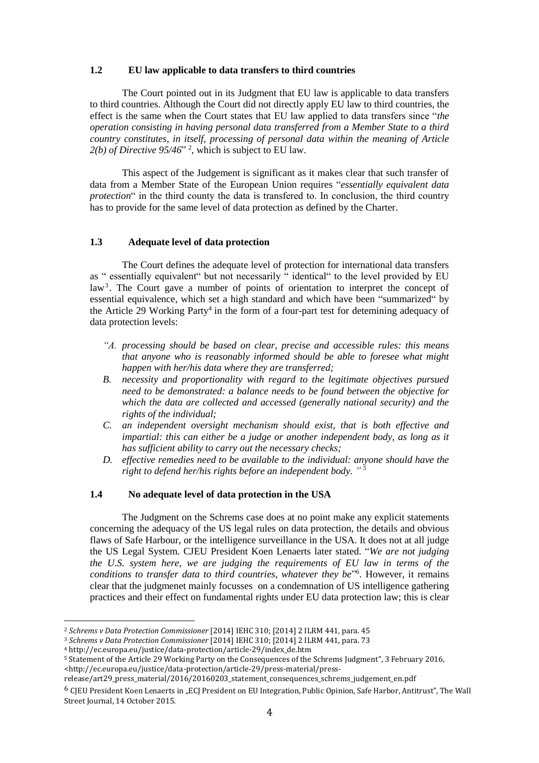#### **1.2 EU law applicable to data transfers to third countries**

The Court pointed out in its Judgment that EU law is applicable to data transfers to third countries. Although the Court did not directly apply EU law to third countries, the effect is the same when the Court states that EU law applied to data transfers since "*the operation consisting in having personal data transferred from a Member State to a third country constitutes, in itself, processing of personal data within the meaning of Article 2(b) of Directive 95/46*" <sup>2</sup> , which is subject to EU law.

This aspect of the Judgement is significant as it makes clear that such transfer of data from a Member State of the European Union requires "*essentially equivalent data protection*" in the third county the data is transfered to. In conclusion, the third country has to provide for the same level of data protection as defined by the Charter.

#### **1.3 Adequate level of data protection**

The Court defines the adequate level of protection for international data transfers as " essentially equivalent" but not necessarily " identical" to the level provided by EU law<sup>3</sup>. The Court gave a number of points of orientation to interpret the concept of essential equivalence, which set a high standard and which have been "summarized" by the Article 29 Working Party<sup>4</sup> in the form of a four-part test for detemining adequacy of data protection levels:

- *"A. processing should be based on clear, precise and accessible rules: this means that anyone who is reasonably informed should be able to foresee what might happen with her/his data where they are transferred;*
- *B. necessity and proportionality with regard to the legitimate objectives pursued need to be demonstrated: a balance needs to be found between the objective for which the data are collected and accessed (generally national security) and the rights of the individual;*
- *C. an independent oversight mechanism should exist, that is both effective and impartial: this can either be a judge or another independent body, as long as it has sufficient ability to carry out the necessary checks;*
- *D. effective remedies need to be available to the individual: anyone should have the right to defend her/his rights before an independent body. " <sup>5</sup>*

### **1.4 No adequate level of data protection in the USA**

The Judgment on the Schrems case does at no point make any explicit statements concerning the adequacy of the US legal rules on data protection, the details and obvious flaws of Safe Harbour, or the intelligence surveillance in the USA. It does not at all judge the US Legal System. CJEU President Koen Lenaerts later stated. "*We are not judging the U.S. system here, we are judging the requirements of EU law in terms of the*  conditions to transfer data to third countries, whatever they be<sup>"6</sup>. However, it remains clear that the judgmenet mainly focusses on a condemnation of US intelligence gathering practices and their effect on fundamental rights under EU data protection law; this is clear

 $\overline{a}$ 

<sup>2</sup> *Schrems v Data Protection Commissioner* [2014] IEHC 310; [2014] 2 ILRM 441, para. 45

<sup>3</sup> *Schrems v Data Protection Commissioner* [2014] IEHC 310; [2014] 2 ILRM 441, para. 73

<sup>4</sup> http://ec.europa.eu/justice/data-protection/article-29/index\_de.htm

<sup>5</sup> Statement of the Article 29 Working Party on the Consequences of the Schrems Judgment", 3 February 2016, <http://ec.europa.eu/justice/data-protection/article-29/press-material/press-

release/art29\_press\_material/2016/20160203\_statement\_consequences\_schrems\_judgement\_en.pdf

 $6$  CJEU President Koen Lenaerts in "ECJ President on EU Integration, Public Opinion, Safe Harbor, Antitrust", The Wall Street Journal, 14 October 2015.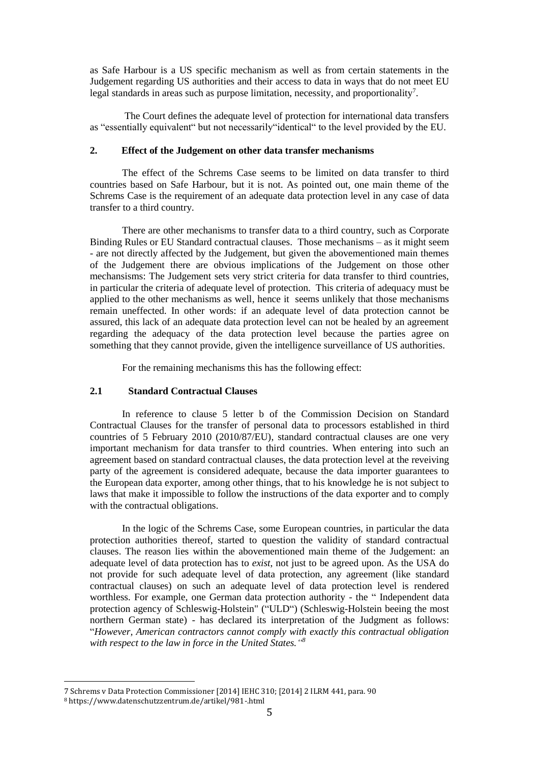as Safe Harbour is a US specific mechanism as well as from certain statements in the Judgement regarding US authorities and their access to data in ways that do not meet EU legal standards in areas such as purpose limitation, necessity, and proportionality<sup>7</sup>.

The Court defines the adequate level of protection for international data transfers as "essentially equivalent" but not necessarily"identical" to the level provided by the EU.

#### **2. Effect of the Judgement on other data transfer mechanisms**

The effect of the Schrems Case seems to be limited on data transfer to third countries based on Safe Harbour, but it is not. As pointed out, one main theme of the Schrems Case is the requirement of an adequate data protection level in any case of data transfer to a third country.

There are other mechanisms to transfer data to a third country, such as Corporate Binding Rules or EU Standard contractual clauses. Those mechanisms – as it might seem - are not directly affected by the Judgement, but given the abovementioned main themes of the Judgement there are obvious implications of the Judgement on those other mechansisms: The Judgement sets very strict criteria for data transfer to third countries, in particular the criteria of adequate level of protection. This criteria of adequacy must be applied to the other mechanisms as well, hence it seems unlikely that those mechanisms remain uneffected. In other words: if an adequate level of data protection cannot be assured, this lack of an adequate data protection level can not be healed by an agreement regarding the adequacy of the data protection level because the parties agree on something that they cannot provide, given the intelligence surveillance of US authorities.

For the remaining mechanisms this has the following effect:

#### **2.1 Standard Contractual Clauses**

In reference to clause 5 letter b of the Commission Decision on Standard Contractual Clauses for the transfer of personal data to processors established in third countries of 5 February 2010 (2010/87/EU), standard contractual clauses are one very important mechanism for data transfer to third countries. When entering into such an agreement based on standard contractual clauses, the data protection level at the reveiving party of the agreement is considered adequate, because the data importer guarantees to the European data exporter, among other things, that to his knowledge he is not subject to laws that make it impossible to follow the instructions of the data exporter and to comply with the contractual obligations.

In the logic of the Schrems Case, some European countries, in particular the data protection authorities thereof, started to question the validity of standard contractual clauses. The reason lies within the abovementioned main theme of the Judgement: an adequate level of data protection has to *exist*, not just to be agreed upon. As the USA do not provide for such adequate level of data protection, any agreement (like standard contractual clauses) on such an adequate level of data protection level is rendered worthless. For example, one German data protection authority - the " Independent data protection agency of Schleswig-Holstein" ("ULD") (Schleswig-Holstein beeing the most northern German state) - has declared its interpretation of the Judgment as follows: "*However, American contractors cannot comply with exactly this contractual obligation with respect to the law in force in the United States." 8*

 $\overline{a}$ 

<sup>7</sup> Schrems v Data Protection Commissioner [2014] IEHC 310; [2014] 2 ILRM 441, para. 90 <sup>8</sup> https://www.datenschutzzentrum.de/artikel/981-.html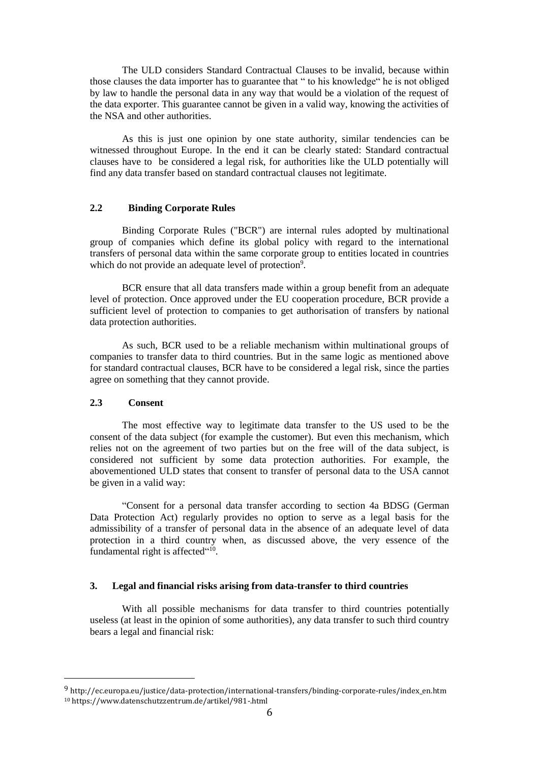The ULD considers Standard Contractual Clauses to be invalid, because within those clauses the data importer has to guarantee that " to his knowledge" he is not obliged by law to handle the personal data in any way that would be a violation of the request of the data exporter. This guarantee cannot be given in a valid way, knowing the activities of the NSA and other authorities.

As this is just one opinion by one state authority, similar tendencies can be witnessed throughout Europe. In the end it can be clearly stated: Standard contractual clauses have to be considered a legal risk, for authorities like the ULD potentially will find any data transfer based on standard contractual clauses not legitimate.

# **2.2 Binding Corporate Rules**

Binding Corporate Rules ("BCR") are internal rules adopted by multinational group of companies which define its global policy with regard to the international transfers of personal data within the same corporate group to entities located in countries which do not provide an adequate level of protection<sup>9</sup>.

BCR ensure that all data transfers made within a group benefit from an adequate level of protection. Once approved under the EU cooperation procedure, BCR provide a sufficient level of protection to companies to get authorisation of transfers by national data protection authorities.

As such, BCR used to be a reliable mechanism within multinational groups of companies to transfer data to third countries. But in the same logic as mentioned above for standard contractual clauses, BCR have to be considered a legal risk, since the parties agree on something that they cannot provide.

# **2.3 Consent**

 $\overline{a}$ 

The most effective way to legitimate data transfer to the US used to be the consent of the data subject (for example the customer). But even this mechanism, which relies not on the agreement of two parties but on the free will of the data subject, is considered not sufficient by some data protection authorities. For example, the abovementioned ULD states that consent to transfer of personal data to the USA cannot be given in a valid way:

"Consent for a personal data transfer according to section 4a BDSG (German Data Protection Act) regularly provides no option to serve as a legal basis for the admissibility of a transfer of personal data in the absence of an adequate level of data protection in a third country when, as discussed above, the very essence of the fundamental right is affected"<sup>10</sup>.

### **3. Legal and financial risks arising from data-transfer to third countries**

With all possible mechanisms for data transfer to third countries potentially useless (at least in the opinion of some authorities), any data transfer to such third country bears a legal and financial risk:

<sup>9</sup> http://ec.europa.eu/justice/data-protection/international-transfers/binding-corporate-rules/index\_en.htm <sup>10</sup> https://www.datenschutzzentrum.de/artikel/981-.html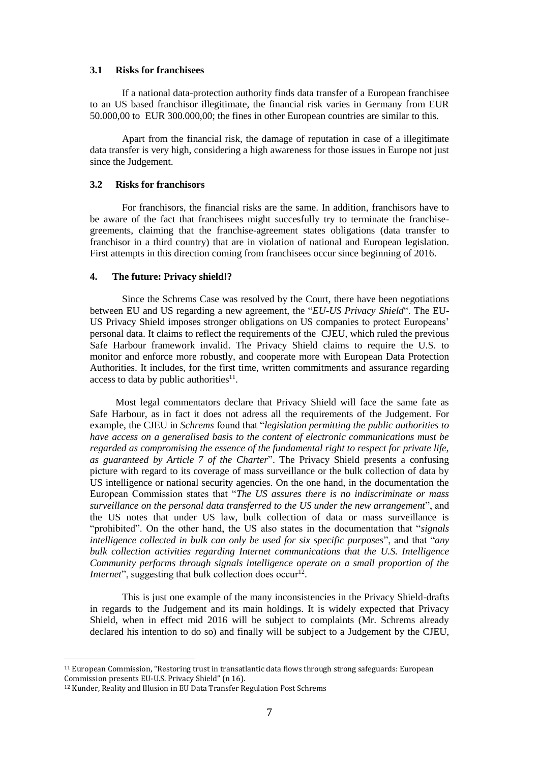#### **3.1 Risks for franchisees**

If a national data-protection authority finds data transfer of a European franchisee to an US based franchisor illegitimate, the financial risk varies in Germany from EUR 50.000,00 to EUR 300.000,00; the fines in other European countries are similar to this.

Apart from the financial risk, the damage of reputation in case of a illegitimate data transfer is very high, considering a high awareness for those issues in Europe not just since the Judgement.

#### **3.2 Risks for franchisors**

For franchisors, the financial risks are the same. In addition, franchisors have to be aware of the fact that franchisees might succesfully try to terminate the franchisegreements, claiming that the franchise-agreement states obligations (data transfer to franchisor in a third country) that are in violation of national and European legislation. First attempts in this direction coming from franchisees occur since beginning of 2016.

#### **4. The future: Privacy shield!?**

Since the Schrems Case was resolved by the Court, there have been negotiations between EU and US regarding a new agreement, the "*EU-US Privacy Shield*". The EU-US Privacy Shield imposes stronger obligations on US companies to protect Europeans' personal data. It claims to reflect the requirements of the CJEU, which ruled the previous Safe Harbour framework invalid. The Privacy Shield claims to require the U.S. to monitor and enforce more robustly, and cooperate more with European Data Protection Authorities. It includes, for the first time, written commitments and assurance regarding access to data by public authorities<sup>11</sup>.

Most legal commentators declare that Privacy Shield will face the same fate as Safe Harbour, as in fact it does not adress all the requirements of the Judgement. For example, the CJEU in *Schrems* found that "*legislation permitting the public authorities to have access on a generalised basis to the content of electronic communications must be regarded as compromising the essence of the fundamental right to respect for private life, as guaranteed by Article 7 of the Charter*". The Privacy Shield presents a confusing picture with regard to its coverage of mass surveillance or the bulk collection of data by US intelligence or national security agencies. On the one hand, in the documentation the European Commission states that "*The US assures there is no indiscriminate or mass surveillance on the personal data transferred to the US under the new arrangement*", and the US notes that under US law, bulk collection of data or mass surveillance is "prohibited". On the other hand, the US also states in the documentation that "*signals intelligence collected in bulk can only be used for six specific purposes*", and that "*any bulk collection activities regarding Internet communications that the U.S. Intelligence Community performs through signals intelligence operate on a small proportion of the Internet*", suggesting that bulk collection does occur<sup>12</sup>.

This is just one example of the many inconsistencies in the Privacy Shield-drafts in regards to the Judgement and its main holdings. It is widely expected that Privacy Shield, when in effect mid 2016 will be subject to complaints (Mr. Schrems already declared his intention to do so) and finally will be subject to a Judgement by the CJEU,

 $\overline{a}$ 

<sup>11</sup> European Commission, "Restoring trust in transatlantic data flows through strong safeguards: European Commission presents EU-U.S. Privacy Shield" (n 16).

<sup>12</sup> Kunder, Reality and Illusion in EU Data Transfer Regulation Post Schrems